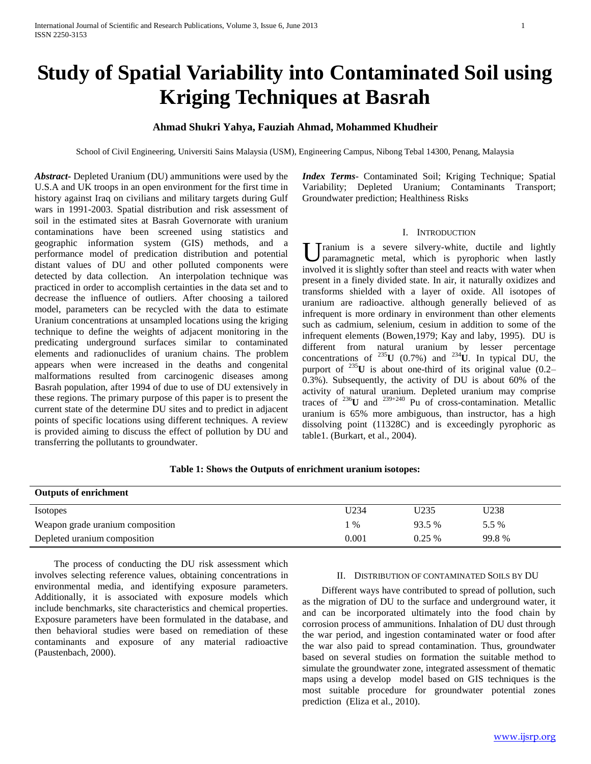# **Study of Spatial Variability into Contaminated Soil using Kriging Techniques at Basrah**

## **Ahmad Shukri Yahya, Fauziah Ahmad, Mohammed Khudheir**

School of Civil Engineering, Universiti Sains Malaysia (USM), Engineering Campus, Nibong Tebal 14300, Penang, Malaysia

*Abstract***-** Depleted Uranium (DU) ammunitions were used by the U.S.A and UK troops in an open environment for the first time in history against Iraq on civilians and military targets during Gulf wars in 1991-2003. Spatial distribution and risk assessment of soil in the estimated sites at Basrah Governorate with uranium contaminations have been screened using statistics and geographic information system (GIS) methods, and a performance model of predication distribution and potential distant values of DU and other polluted components were detected by data collection. An interpolation technique was practiced in order to accomplish certainties in the data set and to decrease the influence of outliers. After choosing a tailored model, parameters can be recycled with the data to estimate Uranium concentrations at unsampled locations using the kriging technique to define the weights of adjacent monitoring in the predicating underground surfaces similar to contaminated elements and radionuclides of uranium chains. The problem appears when were increased in the deaths and congenital malformations resulted from carcinogenic diseases among Basrah population, after 1994 of due to use of DU extensively in these regions. The primary purpose of this paper is to present the current state of the determine DU sites and to predict in adjacent points of specific locations using different techniques. A review is provided aiming to discuss the effect of pollution by DU and transferring the pollutants to groundwater.

*Index Terms*- Contaminated Soil; Kriging Technique; Spatial Variability; Depleted Uranium; Contaminants Transport; Groundwater prediction; Healthiness Risks

### I. INTRODUCTION

U paramagnetic metal, which is pyrophoric when lastly paramagnetic metal, which is pyrophoric when lastly involved it is slightly softer than steel and reacts with water when present in a finely divided state. In air, it naturally oxidizes and transforms shielded with a layer of oxide. All isotopes of uranium are radioactive. although generally believed of as infrequent is more ordinary in environment than other elements such as cadmium, selenium, cesium in addition to some of the infrequent elements (Bowen,1979; Kay and laby, 1995). DU is different from natural uranium by lesser percentage concentrations of  $^{235}$ **U** (0.7%) and  $^{234}$ **U**. In typical DU, the purport of <sup>235</sup>**U** is about one-third of its original value (0.2– 0.3%). Subsequently, the activity of DU is about 60% of the activity of natural uranium. Depleted uranium may comprise traces of <sup>236</sup>U and <sup>239+240</sup> Pu of cross-contamination. Metallic uranium is 65% more ambiguous, than instructor, has a high dissolving point (11328C) and is exceedingly pyrophoric as table1. (Burkart, et al., 2004).

## **Table 1: Shows the Outputs of enrichment uranium isotopes:**

| <b>Outputs of enrichment</b>     |       |          |       |
|----------------------------------|-------|----------|-------|
| <b>Isotopes</b>                  | U234  | U235     | U238  |
| Weapon grade uranium composition | $\%$  | 93.5 %   | 5.5 % |
| Depleted uranium composition     | 0.001 | $0.25\%$ | 99.8% |

 The process of conducting the DU risk assessment which involves selecting reference values, obtaining concentrations in environmental media, and identifying exposure parameters. Additionally, it is associated with exposure models which include benchmarks, site characteristics and chemical properties. Exposure parameters have been formulated in the database, and then behavioral studies were based on remediation of these contaminants and exposure of any material radioactive (Paustenbach, 2000).

#### II. DISTRIBUTION OF CONTAMINATED SOILS BY DU

 Different ways have contributed to spread of pollution, such as the migration of DU to the surface and underground water, it and can be incorporated ultimately into the food chain by corrosion process of ammunitions. Inhalation of DU dust through the war period, and ingestion contaminated water or food after the war also paid to spread contamination. Thus, groundwater based on several studies on formation the suitable method to simulate the groundwater zone, integrated assessment of thematic maps using a develop model based on GIS techniques is the most suitable procedure for groundwater potential zones prediction (Eliza et al., 2010).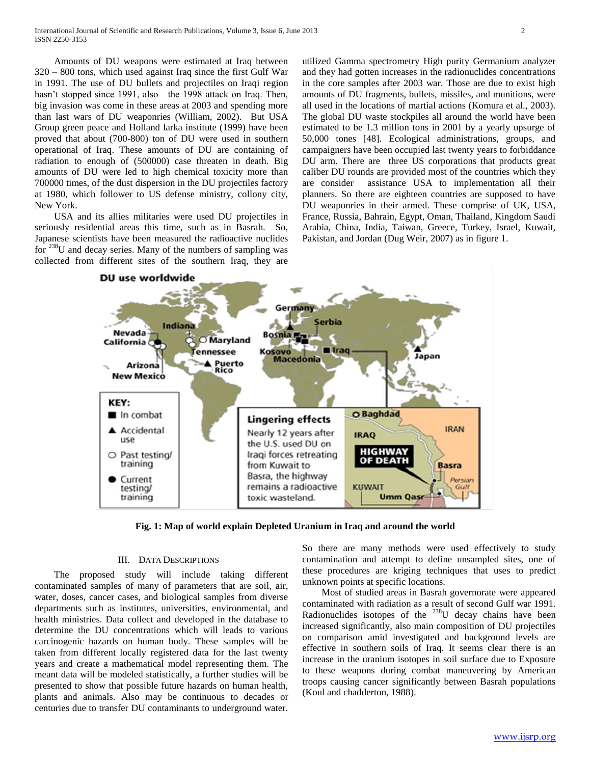Amounts of DU weapons were estimated at Iraq between 320 – 800 tons, which used against Iraq since the first Gulf War in 1991. The use of DU bullets and projectiles on Iraqi region hasn't stopped since 1991, also the 1998 attack on Iraq. Then, big invasion was come in these areas at 2003 and spending more than last wars of DU weaponries (William, 2002). But USA Group green peace and Holland larka institute (1999) have been proved that about (700-800) ton of DU were used in southern operational of Iraq. These amounts of DU are containing of radiation to enough of (500000) case threaten in death. Big amounts of DU were led to high chemical toxicity more than 700000 times, of the dust dispersion in the DU projectiles factory at 1980, which follower to US defense ministry, collony city, New York.

 USA and its allies militaries were used DU projectiles in seriously residential areas this time, such as in Basrah. So, Japanese scientists have been measured the radioactive nuclides for  $238$ U and decay series. Many of the numbers of sampling was collected from different sites of the southern Iraq, they are

utilized Gamma spectrometry High purity Germanium analyzer and they had gotten increases in the radionuclides concentrations in the core samples after 2003 war. Those are due to exist high amounts of DU fragments, bullets, missiles, and munitions, were all used in the locations of martial actions (Komura et al., 2003). The global DU waste stockpiles all around the world have been estimated to be 1.3 million tons in 2001 by a yearly upsurge of 50,000 tones [48]. Ecological administrations, groups, and campaigners have been occupied last twenty years to forbiddance DU arm. There are three US corporations that products great caliber DU rounds are provided most of the countries which they are consider assistance USA to implementation all their planners. So there are eighteen countries are supposed to have DU weaponries in their armed. These comprise of UK, USA, France, Russia, Bahrain, Egypt, Oman, Thailand, Kingdom Saudi Arabia, China, India, Taiwan, Greece, Turkey, Israel, Kuwait, Pakistan, and Jordan (Dug Weir, 2007) as in figure 1.



**Fig. 1: Map of world explain Depleted Uranium in Iraq and around the world**

#### III. DATA DESCRIPTIONS

 The proposed study will include taking different contaminated samples of many of parameters that are soil, air, water, doses, cancer cases, and biological samples from diverse departments such as institutes, universities, environmental, and health ministries. Data collect and developed in the database to determine the DU concentrations which will leads to various carcinogenic hazards on human body. These samples will be taken from different locally registered data for the last twenty years and create a mathematical model representing them. The meant data will be modeled statistically, a further studies will be presented to show that possible future hazards on human health, plants and animals. Also may be continuous to decades or centuries due to transfer DU contaminants to underground water.

So there are many methods were used effectively to study contamination and attempt to define unsampled sites, one of these procedures are kriging techniques that uses to predict unknown points at specific locations.

 Most of studied areas in Basrah governorate were appeared contaminated with radiation as a result of second Gulf war 1991. Radionuclides isotopes of the  $^{238}U$  decay chains have been increased significantly, also main composition of DU projectiles on comparison amid investigated and background levels are effective in southern soils of Iraq. It seems clear there is an increase in the uranium isotopes in soil surface due to Exposure to these weapons during combat maneuvering by American troops causing cancer significantly between Basrah populations (Koul and chadderton, 1988).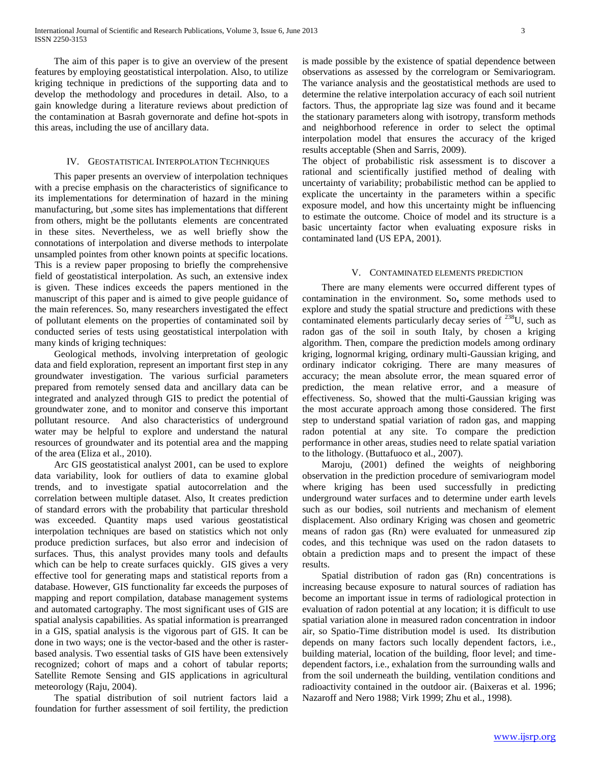The aim of this paper is to give an overview of the present features by employing geostatistical interpolation. Also, to utilize kriging technique in predictions of the supporting data and to develop the methodology and procedures in detail. Also, to a gain knowledge during a literature reviews about prediction of the contamination at Basrah governorate and define hot-spots in this areas, including the use of ancillary data.

## IV. GEOSTATISTICAL INTERPOLATION TECHNIQUES

 This paper presents an overview of interpolation techniques with a precise emphasis on the characteristics of significance to its implementations for determination of hazard in the mining manufacturing, but ,some sites has implementations that different from others, might be the pollutants elements are concentrated in these sites. Nevertheless, we as well briefly show the connotations of interpolation and diverse methods to interpolate unsampled pointes from other known points at specific locations. This is a review paper proposing to briefly the comprehensive field of geostatistical interpolation. As such, an extensive index is given. These indices exceeds the papers mentioned in the manuscript of this paper and is aimed to give people guidance of the main references. So, many researchers investigated the effect of pollutant elements on the properties of contaminated soil by conducted series of tests using geostatistical interpolation with many kinds of kriging techniques:

 Geological methods, involving interpretation of geologic data and field exploration, represent an important first step in any groundwater investigation. The various surficial parameters prepared from remotely sensed data and ancillary data can be integrated and analyzed through GIS to predict the potential of groundwater zone, and to monitor and conserve this important pollutant resource. And also characteristics of underground water may be helpful to explore and understand the natural resources of groundwater and its potential area and the mapping of the area (Eliza et al., 2010).

 Arc GIS geostatistical analyst 2001, can be used to explore data variability, look for outliers of data to examine global trends, and to investigate spatial autocorrelation and the correlation between multiple dataset. Also, It creates prediction of standard errors with the probability that particular threshold was exceeded. Quantity maps used various geostatistical interpolation techniques are based on statistics which not only produce prediction surfaces, but also error and indecision of surfaces. Thus, this analyst provides many tools and defaults which can be help to create surfaces quickly. GIS gives a very effective tool for generating maps and statistical reports from a database. However, GIS functionality far exceeds the purposes of mapping and report compilation, database management systems and automated cartography. The most significant uses of GIS are spatial analysis capabilities. As spatial information is prearranged in a GIS, spatial analysis is the vigorous part of GIS. It can be done in two ways; one is the vector-based and the other is rasterbased analysis. Two essential tasks of GIS have been extensively recognized; cohort of maps and a cohort of tabular reports; Satellite Remote Sensing and GIS applications in agricultural meteorology (Raju, 2004).

 The spatial distribution of soil nutrient factors laid a foundation for further assessment of soil fertility, the prediction

is made possible by the existence of spatial dependence between observations as assessed by the correlogram or Semivariogram. The variance analysis and the geostatistical methods are used to determine the relative interpolation accuracy of each soil nutrient factors. Thus, the appropriate lag size was found and it became the stationary parameters along with isotropy, transform methods and neighborhood reference in order to select the optimal interpolation model that ensures the accuracy of the kriged results acceptable (Shen and Sarris, 2009).

The object of probabilistic risk assessment is to discover a rational and scientifically justified method of dealing with uncertainty of variability; probabilistic method can be applied to explicate the uncertainty in the parameters within a specific exposure model, and how this uncertainty might be influencing to estimate the outcome. Choice of model and its structure is a basic uncertainty factor when evaluating exposure risks in contaminated land (US EPA, 2001).

#### V. CONTAMINATED ELEMENTS PREDICTION

 There are many elements were occurred different types of contamination in the environment. So**,** some methods used to explore and study the spatial structure and predictions with these contaminated elements particularly decay series of <sup>238</sup>U, such as radon gas of the soil in south Italy, by chosen a kriging algorithm. Then, compare the prediction models among ordinary kriging, lognormal kriging, ordinary multi-Gaussian kriging, and ordinary indicator cokriging. There are many measures of accuracy; the mean absolute error, the mean squared error of prediction, the mean relative error, and a measure of effectiveness. So, showed that the multi-Gaussian kriging was the most accurate approach among those considered. The first step to understand spatial variation of radon gas, and mapping radon potential at any site. To compare the prediction performance in other areas, studies need to relate spatial variation to the lithology. (Buttafuoco et al., 2007).

 Maroju, (2001) defined the weights of neighboring observation in the prediction procedure of semivariogram model where kriging has been used successfully in predicting underground water surfaces and to determine under earth levels such as our bodies, soil nutrients and mechanism of element displacement. Also ordinary Kriging was chosen and geometric means of radon gas (Rn) were evaluated for unmeasured zip codes, and this technique was used on the radon datasets to obtain a prediction maps and to present the impact of these results.

 Spatial distribution of radon gas (Rn) concentrations is increasing because exposure to natural sources of radiation has become an important issue in terms of radiological protection in evaluation of radon potential at any location; it is difficult to use spatial variation alone in measured radon concentration in indoor air, so Spatio-Time distribution model is used. Its distribution depends on many factors such locally dependent factors, i.e., building material, location of the building, floor level; and timedependent factors, i.e., exhalation from the surrounding walls and from the soil underneath the building, ventilation conditions and radioactivity contained in the outdoor air. (Baixeras et al. 1996; Nazaroff and Nero 1988; Virk 1999; Zhu et al., 1998).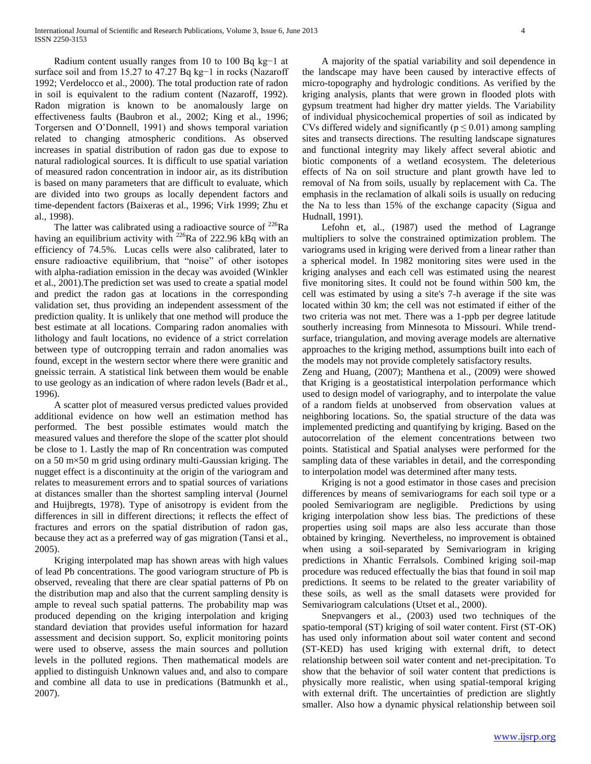Radium content usually ranges from 10 to 100 Bq kg−1 at surface soil and from 15.27 to 47.27 Bq kg−1 in rocks (Nazaroff 1992; Verdelocco et al., 2000). The total production rate of radon in soil is equivalent to the radium content (Nazaroff, 1992). Radon migration is known to be anomalously large on effectiveness faults (Baubron et al., 2002; King et al., 1996; Torgersen and O'Donnell, 1991) and shows temporal variation related to changing atmospheric conditions. As observed increases in spatial distribution of radon gas due to expose to natural radiological sources. It is difficult to use spatial variation of measured radon concentration in indoor air, as its distribution is based on many parameters that are difficult to evaluate, which are divided into two groups as locally dependent factors and time-dependent factors (Baixeras et al., 1996; Virk 1999; Zhu et al., 1998).

The latter was calibrated using a radioactive source of  $^{226}$ Ra having an equilibrium activity with  $^{226}$ Ra of 222.96 kBq with an efficiency of 74.5%. Lucas cells were also calibrated, later to ensure radioactive equilibrium, that "noise" of other isotopes with alpha-radiation emission in the decay was avoided (Winkler et al., 2001).The prediction set was used to create a spatial model and predict the radon gas at locations in the corresponding validation set, thus providing an independent assessment of the prediction quality. It is unlikely that one method will produce the best estimate at all locations. Comparing radon anomalies with lithology and fault locations, no evidence of a strict correlation between type of outcropping terrain and radon anomalies was found, except in the western sector where there were granitic and gneissic terrain. A statistical link between them would be enable to use geology as an indication of where radon levels (Badr et al., 1996).

 A scatter plot of measured versus predicted values provided additional evidence on how well an estimation method has performed. The best possible estimates would match the measured values and therefore the slope of the scatter plot should be close to 1. Lastly the map of Rn concentration was computed on a 50 m×50 m grid using ordinary multi-Gaussian kriging. The nugget effect is a discontinuity at the origin of the variogram and relates to measurement errors and to spatial sources of variations at distances smaller than the shortest sampling interval (Journel and Huijbregts, 1978). Type of anisotropy is evident from the differences in sill in different directions; it reflects the effect of fractures and errors on the spatial distribution of radon gas, because they act as a preferred way of gas migration (Tansi et al., 2005).

 Kriging interpolated map has shown areas with high values of lead Pb concentrations. The good variogram structure of Pb is observed, revealing that there are clear spatial patterns of Pb on the distribution map and also that the current sampling density is ample to reveal such spatial patterns. The probability map was produced depending on the kriging interpolation and kriging standard deviation that provides useful information for hazard assessment and decision support. So, explicit monitoring points were used to observe, assess the main sources and pollution levels in the polluted regions. Then mathematical models are applied to distinguish Unknown values and, and also to compare and combine all data to use in predications (Batmunkh et al., 2007).

 A majority of the spatial variability and soil dependence in the landscape may have been caused by interactive effects of micro-topography and hydrologic conditions. As verified by the kriging analysis, plants that were grown in flooded plots with gypsum treatment had higher dry matter yields. The Variability of individual physicochemical properties of soil as indicated by CVs differed widely and significantly ( $p \le 0.01$ ) among sampling sites and transects directions. The resulting landscape signatures and functional integrity may likely affect several abiotic and biotic components of a wetland ecosystem. The deleterious effects of Na on soil structure and plant growth have led to removal of Na from soils, usually by replacement with Ca. The emphasis in the reclamation of alkali soils is usually on reducing the Na to less than 15% of the exchange capacity (Sigua and Hudnall, 1991).

 Lefohn et, al., (1987) used the method of Lagrange multipliers to solve the constrained optimization problem. The variograms used in kriging were derived from a linear rather than a spherical model. In 1982 monitoring sites were used in the kriging analyses and each cell was estimated using the nearest five monitoring sites. It could not be found within 500 km, the cell was estimated by using a site's 7-h average if the site was located within 30 km; the cell was not estimated if either of the two criteria was not met. There was a 1-ppb per degree latitude southerly increasing from Minnesota to Missouri. While trendsurface, triangulation, and moving average models are alternative approaches to the kriging method, assumptions built into each of the models may not provide completely satisfactory results.

Zeng and Huang, (2007); Manthena et al., (2009) were showed that Kriging is a geostatistical interpolation performance which used to design model of variography, and to interpolate the value of a random fields at unobserved from observation values at neighboring locations. So, the spatial structure of the data was implemented predicting and quantifying by kriging. Based on the autocorrelation of the element concentrations between two points. Statistical and Spatial analyses were performed for the sampling data of these variables in detail, and the corresponding to interpolation model was determined after many tests.

 Kriging is not a good estimator in those cases and precision differences by means of semivariograms for each soil type or a pooled Semivariogram are negligible. Predictions by using kriging interpolation show less bias. The predictions of these properties using soil maps are also less accurate than those obtained by kringing. Nevertheless, no improvement is obtained when using a soil-separated by Semivariogram in kriging predictions in Xhantic Ferralsols. Combined kriging soil-map procedure was reduced effectually the bias that found in soil map predictions. It seems to be related to the greater variability of these soils, as well as the small datasets were provided for Semivariogram calculations (Utset et al., 2000).

 Snepvangers et al., (2003) used two techniques of the spatio-temporal (ST) kriging of soil water content. First (ST-OK) has used only information about soil water content and second (ST-KED) has used kriging with external drift, to detect relationship between soil water content and net-precipitation. To show that the behavior of soil water content that predictions is physically more realistic, when using spatial-temporal kriging with external drift. The uncertainties of prediction are slightly smaller. Also how a dynamic physical relationship between soil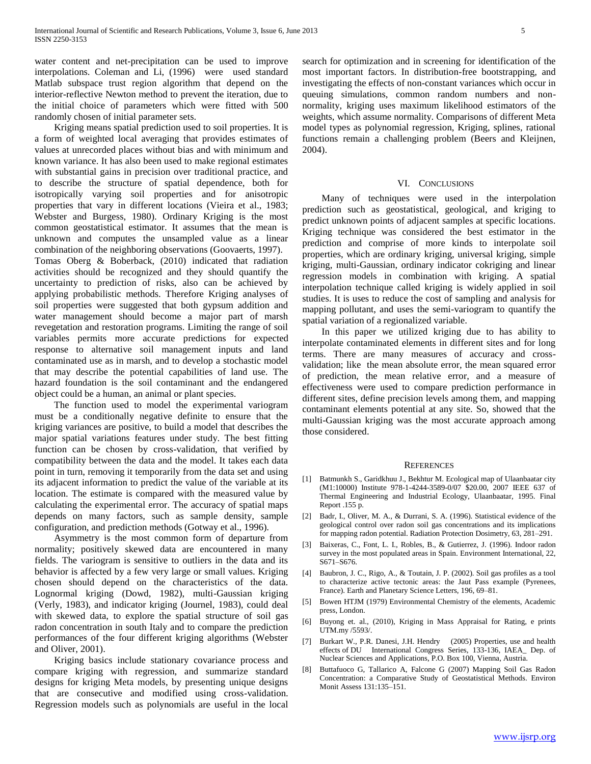water content and net-precipitation can be used to improve interpolations. Coleman and Li, (1996) were used standard Matlab subspace trust region algorithm that depend on the interior-reflective Newton method to prevent the iteration, due to the initial choice of parameters which were fitted with 500 randomly chosen of initial parameter sets.

 Kriging means spatial prediction used to soil properties. It is a form of weighted local averaging that provides estimates of values at unrecorded places without bias and with minimum and known variance. It has also been used to make regional estimates with substantial gains in precision over traditional practice, and to describe the structure of spatial dependence, both for isotropically varying soil properties and for anisotropic properties that vary in different locations (Vieira et al., 1983; Webster and Burgess, 1980). Ordinary Kriging is the most common geostatistical estimator. It assumes that the mean is unknown and computes the unsampled value as a linear combination of the neighboring observations (Goovaerts, 1997). Tomas Oberg & Boberback, (2010) indicated that radiation activities should be recognized and they should quantify the uncertainty to prediction of risks, also can be achieved by applying probabilistic methods. Therefore Kriging analyses of soil properties were suggested that both gypsum addition and water management should become a major part of marsh revegetation and restoration programs. Limiting the range of soil variables permits more accurate predictions for expected response to alternative soil management inputs and land contaminated use as in marsh, and to develop a stochastic model that may describe the potential capabilities of land use. The hazard foundation is the soil contaminant and the endangered object could be a human, an animal or plant species.

 The function used to model the experimental variogram must be a conditionally negative definite to ensure that the kriging variances are positive, to build a model that describes the major spatial variations features under study. The best fitting function can be chosen by cross-validation, that verified by compatibility between the data and the model. It takes each data point in turn, removing it temporarily from the data set and using its adjacent information to predict the value of the variable at its location. The estimate is compared with the measured value by calculating the experimental error. The accuracy of spatial maps depends on many factors, such as sample density, sample configuration, and prediction methods (Gotway et al., 1996).

 Asymmetry is the most common form of departure from normality; positively skewed data are encountered in many fields. The variogram is sensitive to outliers in the data and its behavior is affected by a few very large or small values. Kriging chosen should depend on the characteristics of the data. Lognormal kriging (Dowd, 1982), multi-Gaussian kriging (Verly, 1983), and indicator kriging (Journel, 1983), could deal with skewed data, to explore the spatial structure of soil gas radon concentration in south Italy and to compare the prediction performances of the four different kriging algorithms (Webster and Oliver, 2001).

 Kriging basics include stationary covariance process and compare kriging with regression, and summarize standard designs for kriging Meta models, by presenting unique designs that are consecutive and modified using cross-validation. Regression models such as polynomials are useful in the local search for optimization and in screening for identification of the most important factors. In distribution-free bootstrapping, and investigating the effects of non-constant variances which occur in queuing simulations, common random numbers and nonnormality, kriging uses maximum likelihood estimators of the weights, which assume normality. Comparisons of different Meta model types as polynomial regression, Kriging, splines, rational functions remain a challenging problem (Beers and Kleijnen, 2004).

#### VI. CONCLUSIONS

 Many of techniques were used in the interpolation prediction such as geostatistical, geological, and kriging to predict unknown points of adjacent samples at specific locations. Kriging technique was considered the best estimator in the prediction and comprise of more kinds to interpolate soil properties, which are ordinary kriging, universal kriging, simple kriging, multi-Gaussian, ordinary indicator cokriging and linear regression models in combination with kriging. A spatial interpolation technique called kriging is widely applied in soil studies. It is uses to reduce the cost of sampling and analysis for mapping pollutant, and uses the semi-variogram to quantify the spatial variation of a regionalized variable.

 In this paper we utilized kriging due to has ability to interpolate contaminated elements in different sites and for long terms. There are many measures of accuracy and crossvalidation; like the mean absolute error, the mean squared error of prediction, the mean relative error, and a measure of effectiveness were used to compare prediction performance in different sites, define precision levels among them, and mapping contaminant elements potential at any site. So, showed that the multi-Gaussian kriging was the most accurate approach among those considered.

#### **REFERENCES**

- [1] Batmunkh S., Garidkhuu J., Bekhtur M. Ecological map of Ulaanbaatar city (M1:10000) Institute 978-1-4244-3589-0/07 \$20.00, 2007 IEEE 637 of Thermal Engineering and Industrial Ecology, Ulaanbaatar, 1995. Final Report .155 p.
- [2] Badr, I., Oliver, M. A., & Durrani, S. A. (1996). Statistical evidence of the geological control over radon soil gas concentrations and its implications for mapping radon potential. Radiation Protection Dosimetry, 63, 281–291.
- [3] Baixeras, C., Font, L. I., Robles, B., & Gutierrez, J. (1996). Indoor radon survey in the most populated areas in Spain. Environment International, 22, S671–S676.
- [4] Baubron, J. C., Rigo, A., & Toutain, J. P. (2002). Soil gas profiles as a tool to characterize active tectonic areas: the Jaut Pass example (Pyrenees, France). Earth and Planetary Science Letters, 196, 69–81.
- [5] Bowen HTJM (1979) Environmental Chemistry of the elements, Academic press, London.
- [6] Buyong et. al., (2010), Kriging in Mass Appraisal for Rating, e prints UTM.my /5593/.
- [7] Burkart W., P.R. Danesi, J.H. Hendry (2005) Properties, use and health effects of DU International Congress Series, 133-136, IAEA\_ Dep. of Nuclear Sciences and Applications, P.O. Box 100, Vienna, Austria.
- [8] Buttafuoco G, Tallarico A, Falcone G (2007) Mapping Soil Gas Radon Concentration: a Comparative Study of Geostatistical Methods. Environ Monit Assess 131:135–151.